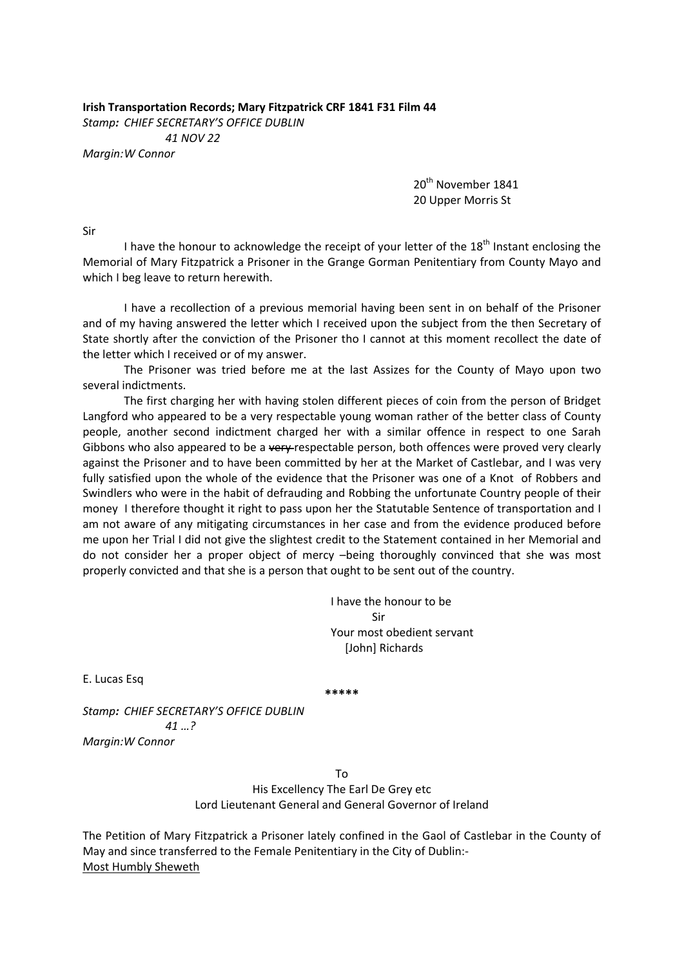**Irish Transportation Records; Mary Fitzpatrick CRF 1841 F31 Film 44**

*Stamp: CHIEF SECRETARY'S OFFICE DUBLIN*

 *41 NOV 22 Margin:W Connor*

> 20<sup>th</sup> November 1841 20 Upper Morris St

Sir

I have the honour to acknowledge the receipt of your letter of the 18<sup>th</sup> Instant enclosing the Memorial of Mary Fitzpatrick a Prisoner in the Grange Gorman Penitentiary from County Mayo and which I beg leave to return herewith.

I have a recollection of a previous memorial having been sent in on behalf of the Prisoner and of my having answered the letter which I received upon the subject from the then Secretary of State shortly after the conviction of the Prisoner tho I cannot at this moment recollect the date of the letter which I received or of my answer.

The Prisoner was tried before me at the last Assizes for the County of Mayo upon two several indictments.

The first charging her with having stolen different pieces of coin from the person of Bridget Langford who appeared to be a very respectable young woman rather of the better class of County people, another second indictment charged her with a similar offence in respect to one Sarah Gibbons who also appeared to be a very-respectable person, both offences were proved very clearly against the Prisoner and to have been committed by her at the Market of Castlebar, and I was very fully satisfied upon the whole of the evidence that the Prisoner was one of a Knot of Robbers and Swindlers who were in the habit of defrauding and Robbing the unfortunate Country people of their money I therefore thought it right to pass upon her the Statutable Sentence of transportation and I am not aware of any mitigating circumstances in her case and from the evidence produced before me upon her Trial I did not give the slightest credit to the Statement contained in her Memorial and do not consider her a proper object of mercy –being thoroughly convinced that she was most properly convicted and that she is a person that ought to be sent out of the country.

> I have the honour to be Sir Your most obedient servant [John] Richards

E. Lucas Esq

**\*\*\*\*\***

*Stamp: CHIEF SECRETARY'S OFFICE DUBLIN 41 …?*

*Margin:W Connor*

To His Excellency The Earl De Grey etc Lord Lieutenant General and General Governor of Ireland

The Petition of Mary Fitzpatrick a Prisoner lately confined in the Gaol of Castlebar in the County of May and since transferred to the Female Penitentiary in the City of Dublin:‐ Most Humbly Sheweth